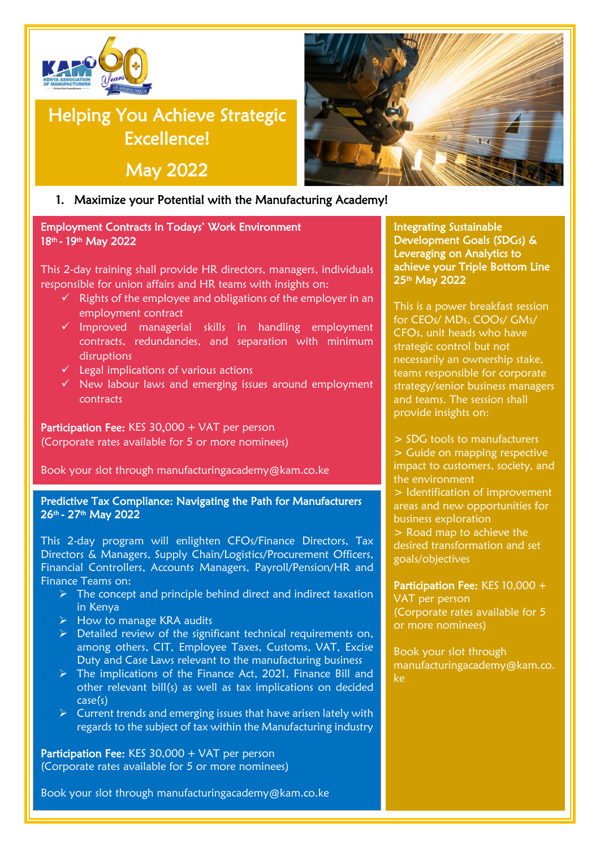

# Helping You Achieve Strategic Excellence!

May 2022

### 1. Maximize your Potential with the Manufacturing Academy!

Employment Contracts in Todays' Work Environment 18<sup>th</sup> - 19<sup>th</sup> May 2022

This 2-day training shall provide HR directors, managers, individuals responsible for union affairs and HR teams with insights on:

- $\checkmark$  Rights of the employee and obligations of the employer in an employment contract
- ✓ Improved managerial skills in handling employment contracts, redundancies, and separation with minimum disruptions
- $\checkmark$  Legal implications of various actions
- ✓ New labour laws and emerging issues around employment contracts

Participation Fee: KES 30,000 + VAT per person (Corporate rates available for 5 or more nominees)

Book your slot through [manufacturingacademy@kam.co.ke](mailto:manufacturingacademy@kam.co.ke)

Predictive Tax Compliance: Navigating the Path for Manufacturers 26<sup>th</sup> - 27<sup>th</sup> May 2022

This 2-day program will enlighten CFOs/Finance Directors, Tax Directors & Managers, Supply Chain/Logistics/Procurement Officers, Financial Controllers, Accounts Managers, Payroll/Pension/HR and Finance Teams on:

- $\triangleright$  The concept and principle behind direct and indirect taxation in Kenya
- ➢ How to manage KRA audits
- $\triangleright$  Detailed review of the significant technical requirements on, among others, CIT, Employee Taxes, Customs, VAT, Excise Duty and Case Laws relevant to the manufacturing business
- ➢ The implications of the Finance Act, 2021, Finance Bill and other relevant bill(s) as well as tax implications on decided case(s)
- $\triangleright$  Current trends and emerging issues that have arisen lately with regards to the subject of tax within the Manufacturing industry

Participation Fee: KES 30,000 + VAT per person (Corporate rates available for 5 or more nominees)

Book your slot through [manufacturingacademy@kam.co.ke](mailto:manufacturingacademy@kam.co.ke)



Integrating Sustainable Development Goals (SDGs) & Leveraging on Analytics to achieve your Triple Bottom Line 25<sup>th</sup> May 2022

This is a power breakfast session for CEOs/ MDs, COOs/ GMs/ CFOs, unit heads who have strategic control but not necessarily an ownership stake, teams responsible for corporate strategy/senior business managers and teams. The session shall provide insights on:

> SDG tools to manufacturers > Guide on mapping respective impact to customers, society, and the environment

> Identification of improvement areas and new opportunities for business exploration

> Road map to achieve the desired transformation and set goals/objectives

Participation Fee: KES 10,000 + VAT per person (Corporate rates available for 5 or more nominees)

Book your slot through [manufacturingacademy@kam.co.](mailto:manufacturingacademy@kam.co.ke) [ke](mailto:manufacturingacademy@kam.co.ke)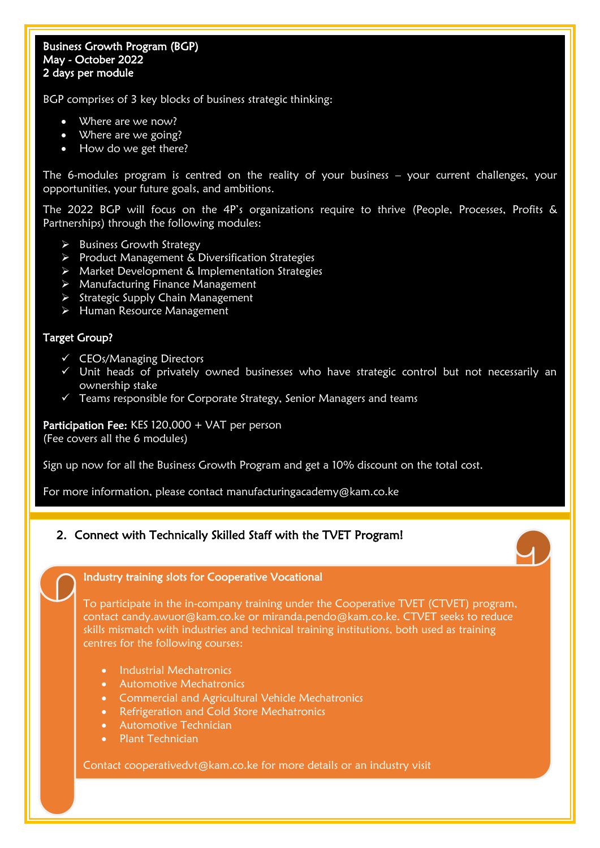#### Business Growth Program (BGP) May - October 2022 2 days per module

BGP comprises of 3 key blocks of business strategic thinking:

- Where are we now?
- Where are we going?
- How do we get there?

The 6-modules program is centred on the reality of your business – your current challenges, your opportunities, your future goals, and ambitions.

The 2022 BGP will focus on the 4P's organizations require to thrive (People, Processes, Profits & Partnerships) through the following modules:

- ➢ Business Growth Strategy
- ➢ Product Management & Diversification Strategies
- ➢ Market Development & Implementation Strategies
- ➢ Manufacturing Finance Management
- ➢ Strategic Supply Chain Management
- ➢ Human Resource Management

#### Target Group?

- ✓ CEOs/Managing Directors
- ✓ Unit heads of privately owned businesses who have strategic control but not necessarily an ownership stake
- $\checkmark$  Teams responsible for Corporate Strategy, Senior Managers and teams

Participation Fee: KES 120,000 + VAT per person (Fee covers all the 6 modules)

Sign up now for all the Business Growth Program and get a 10% discount on the total cost.

For more information, please contact [manufacturingacademy@kam.co.ke](mailto:manufacturingacademy@kam.co.ke) 

#### 2. Connect with Technically Skilled Staff with the TVET Program!



#### Industry training slots for Cooperative Vocational

To participate in the in-company training under the Cooperative TVET (CTVET) program, contact [candy.awuor@kam.co.ke](mailto:candy.awuor@kam.co.ke) or miranda.pendo@kam.co.ke. CTVET seeks to reduce skills mismatch with industries and technical training institutions, both used as training centres for the following courses:

- Industrial Mechatronics
- Automotive Mechatronics
- Commercial and Agricultural Vehicle Mechatronics
- **Refrigeration and Cold Store Mechatronics**
- Automotive Technician
- Plant Technician

Contact [cooperativedvt@kam.co.ke](mailto:cooperativedvt@kam.co.ke) for more details or an industry visit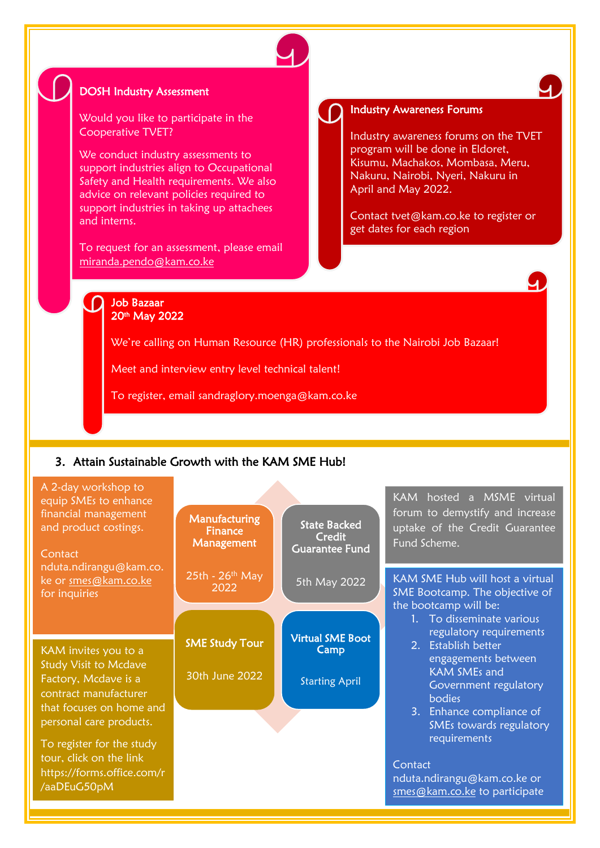

## DOSH Industry Assessment

Would you like to participate in the Cooperative TVET?

We conduct industry assessments to support industries align to Occupational Safety and Health requirements. We also advice on relevant policies required to support industries in taking up attachees and interns.

To request for an assessment, please email [miranda.pendo@kam.co.ke](mailto:miranda.pendo@kam.co.ke)

#### Industry Awareness Forums

Industry awareness forums on the TVET program will be done in Eldoret, Kisumu, Machakos, Mombasa, Meru, Nakuru, Nairobi, Nyeri, Nakuru in April and May 2022.

 $\overline{A}$ 

Contact [tvet@kam.co.ke](mailto:tvet@kam.co.ke) to register or get dates for each region

#### $\Omega$ Job Bazaar 20th May 2022

We're calling on Human Resource (HR) professionals to the Nairobi Job Bazaar!

Meet and interview entry level technical talent!

To register, email [sandraglory.moenga@kam.co.ke](mailto:sandraglory.moenga@kam.co.ke)

#### 3. Attain Sustainable Growth with the KAM SME Hub!

| A 2-day workshop to<br>equip SMEs to enhance<br>financial management<br>and product costings.<br>Contact<br>nduta.ndirangu@kam.co. | Manufacturing<br>Finance<br>Management | <b>State Backed</b><br>Credit<br><b>Guarantee Fund</b> | KAM hosted a MSME virtual<br>forum to demystify and increase<br>uptake of the Credit Guarantee<br>Fund Scheme.          |
|------------------------------------------------------------------------------------------------------------------------------------|----------------------------------------|--------------------------------------------------------|-------------------------------------------------------------------------------------------------------------------------|
| ke or smes@kam.co.ke<br>for inquiries                                                                                              | $25th - 26th$ May<br>2022              | 5th May 2022                                           | KAM SME Hub will host a virtual<br>SME Bootcamp. The objective of<br>the bootcamp will be:<br>1. To disseminate various |
| KAM invites you to a<br><b>Study Visit to Mcdave</b>                                                                               | <b>SME Study Tour</b>                  | <b>Virtual SME Boot</b><br>Camp                        | regulatory requirements<br>2. Establish better<br>engagements between                                                   |
| Factory, Mcdave is a<br>contract manufacturer<br>that focuses on home and<br>personal care products.                               | 30th June 2022                         | <b>Starting April</b>                                  | <b>KAM SMEs and</b><br>Government regulatory<br>bodies<br>3. Enhance compliance of                                      |
| To register for the study<br>tour, click on the link<br>https://forms.office.com/r<br>/aaDEuG50pM                                  |                                        |                                                        | SMEs towards regulatory<br>requirements<br>Contact<br>nduta.ndirangu@kam.co.ke or<br>smes@kam.co.ke to participate      |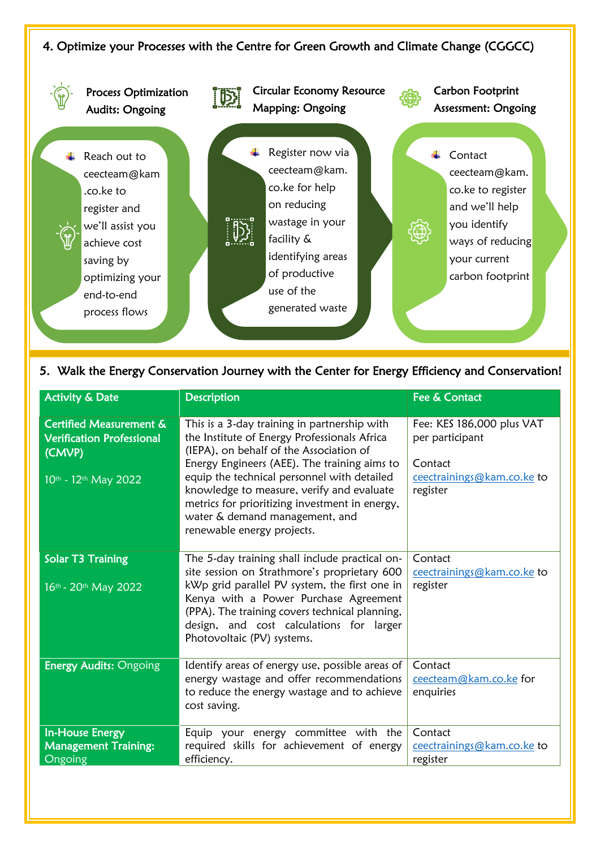## 4. Optimize your Processes with the Centre for Green Growth and Climate Change (CGGCC)



#### 5. Walk the Energy Conservation Journey with the Center for Energy Efficiency and Conservation!

| <b>Activity &amp; Date</b>                                                                               | <b>Description</b>                                                                                                                                                                                                                                                                                                                                                                                    | Fee & Contact                                                                                     |
|----------------------------------------------------------------------------------------------------------|-------------------------------------------------------------------------------------------------------------------------------------------------------------------------------------------------------------------------------------------------------------------------------------------------------------------------------------------------------------------------------------------------------|---------------------------------------------------------------------------------------------------|
| <b>Certified Measurement &amp;</b><br><b>Verification Professional</b><br>(CMVP)<br>10th - 12th May 2022 | This is a 3-day training in partnership with<br>the Institute of Energy Professionals Africa<br>(IEPA), on behalf of the Association of<br>Energy Engineers (AEE). The training aims to<br>equip the technical personnel with detailed<br>knowledge to measure, verify and evaluate<br>metrics for prioritizing investment in energy,<br>water & demand management, and<br>renewable energy projects. | Fee: KES 186,000 plus VAT<br>per participant<br>Contact<br>ceectrainings@kam.co.ke to<br>register |
| <b>Solar T3 Training</b><br>16th - 20th May 2022                                                         | The 5-day training shall include practical on-<br>site session on Strathmore's proprietary 600<br>kWp grid parallel PV system, the first one in<br>Kenya with a Power Purchase Agreement<br>(PPA). The training covers technical planning,<br>design, and cost calculations for larger<br>Photovoltaic (PV) systems.                                                                                  | Contact<br>ceectrainings@kam.co.ke to<br>register                                                 |
| <b>Energy Audits: Ongoing</b>                                                                            | Identify areas of energy use, possible areas of<br>energy wastage and offer recommendations<br>to reduce the energy wastage and to achieve<br>cost saving.                                                                                                                                                                                                                                            | Contact<br>ceecteam@kam.co.ke for<br>enquiries                                                    |
| In-House Energy<br><b>Management Training:</b><br>Ongoing                                                | Equip your energy committee with the<br>required skills for achievement of energy<br>efficiency.                                                                                                                                                                                                                                                                                                      | Contact<br>ceectrainings@kam.co.ke to<br>register                                                 |